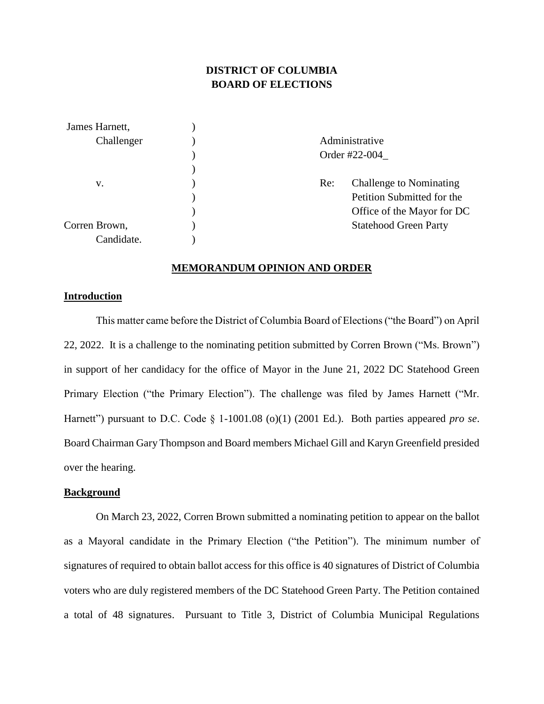# **DISTRICT OF COLUMBIA BOARD OF ELECTIONS**

| James Harnett, |               |                              |  |
|----------------|---------------|------------------------------|--|
| Challenger     |               | Administrative               |  |
|                | Order #22-004 |                              |  |
|                |               |                              |  |
| V.             | Re:           | Challenge to Nominating      |  |
|                |               | Petition Submitted for the   |  |
|                |               | Office of the Mayor for DC   |  |
| Corren Brown,  |               | <b>Statehood Green Party</b> |  |
| Candidate.     |               |                              |  |

#### **MEMORANDUM OPINION AND ORDER**

## **Introduction**

This matter came before the District of Columbia Board of Elections ("the Board") on April 22, 2022. It is a challenge to the nominating petition submitted by Corren Brown ("Ms. Brown") in support of her candidacy for the office of Mayor in the June 21, 2022 DC Statehood Green Primary Election ("the Primary Election"). The challenge was filed by James Harnett ("Mr. Harnett") pursuant to D.C. Code § 1-1001.08 (o)(1) (2001 Ed.). Both parties appeared *pro se*. Board Chairman Gary Thompson and Board members Michael Gill and Karyn Greenfield presided over the hearing.

#### **Background**

On March 23, 2022, Corren Brown submitted a nominating petition to appear on the ballot as a Mayoral candidate in the Primary Election ("the Petition"). The minimum number of signatures of required to obtain ballot access for this office is 40 signatures of District of Columbia voters who are duly registered members of the DC Statehood Green Party. The Petition contained a total of 48 signatures. Pursuant to Title 3, District of Columbia Municipal Regulations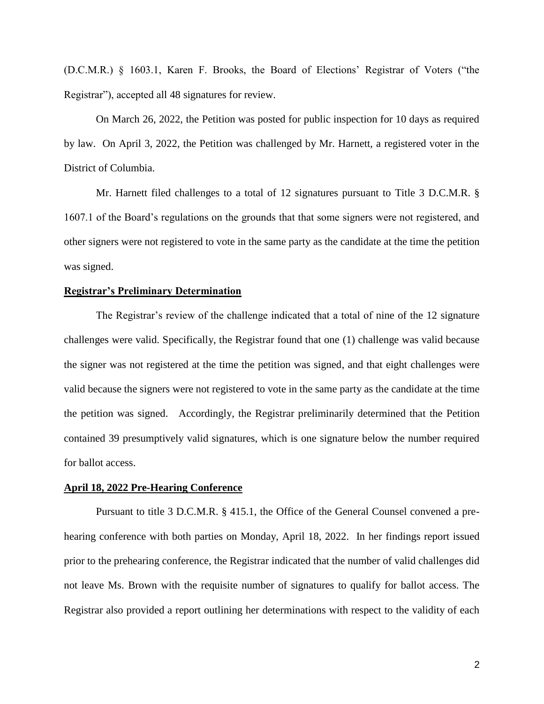(D.C.M.R.) § 1603.1, Karen F. Brooks, the Board of Elections' Registrar of Voters ("the Registrar"), accepted all 48 signatures for review.

On March 26, 2022, the Petition was posted for public inspection for 10 days as required by law. On April 3, 2022, the Petition was challenged by Mr. Harnett, a registered voter in the District of Columbia.

Mr. Harnett filed challenges to a total of 12 signatures pursuant to Title 3 D.C.M.R. § 1607.1 of the Board's regulations on the grounds that that some signers were not registered, and other signers were not registered to vote in the same party as the candidate at the time the petition was signed.

## **Registrar's Preliminary Determination**

The Registrar's review of the challenge indicated that a total of nine of the 12 signature challenges were valid. Specifically, the Registrar found that one (1) challenge was valid because the signer was not registered at the time the petition was signed, and that eight challenges were valid because the signers were not registered to vote in the same party as the candidate at the time the petition was signed. Accordingly, the Registrar preliminarily determined that the Petition contained 39 presumptively valid signatures, which is one signature below the number required for ballot access.

#### **April 18, 2022 Pre-Hearing Conference**

Pursuant to title 3 D.C.M.R. § 415.1, the Office of the General Counsel convened a prehearing conference with both parties on Monday, April 18, 2022. In her findings report issued prior to the prehearing conference, the Registrar indicated that the number of valid challenges did not leave Ms. Brown with the requisite number of signatures to qualify for ballot access. The Registrar also provided a report outlining her determinations with respect to the validity of each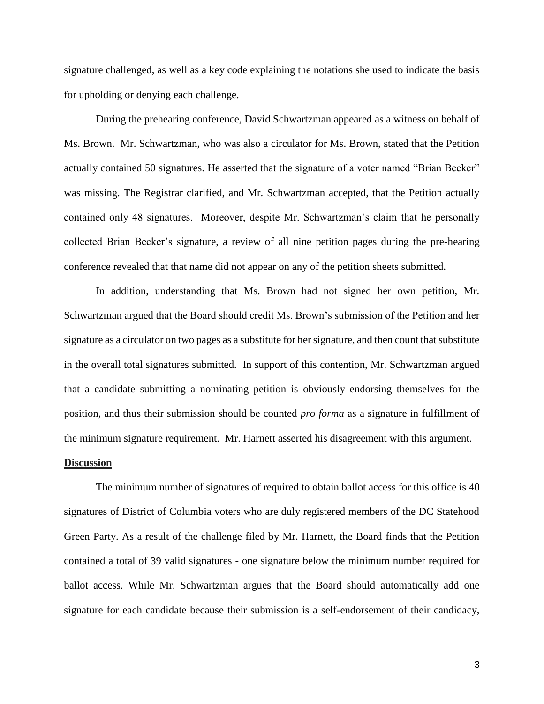signature challenged, as well as a key code explaining the notations she used to indicate the basis for upholding or denying each challenge.

During the prehearing conference, David Schwartzman appeared as a witness on behalf of Ms. Brown. Mr. Schwartzman, who was also a circulator for Ms. Brown, stated that the Petition actually contained 50 signatures. He asserted that the signature of a voter named "Brian Becker" was missing. The Registrar clarified, and Mr. Schwartzman accepted, that the Petition actually contained only 48 signatures. Moreover, despite Mr. Schwartzman's claim that he personally collected Brian Becker's signature, a review of all nine petition pages during the pre-hearing conference revealed that that name did not appear on any of the petition sheets submitted.

In addition, understanding that Ms. Brown had not signed her own petition, Mr. Schwartzman argued that the Board should credit Ms. Brown's submission of the Petition and her signature as a circulator on two pages as a substitute for her signature, and then count that substitute in the overall total signatures submitted. In support of this contention, Mr. Schwartzman argued that a candidate submitting a nominating petition is obviously endorsing themselves for the position, and thus their submission should be counted *pro forma* as a signature in fulfillment of the minimum signature requirement. Mr. Harnett asserted his disagreement with this argument.

### **Discussion**

The minimum number of signatures of required to obtain ballot access for this office is 40 signatures of District of Columbia voters who are duly registered members of the DC Statehood Green Party. As a result of the challenge filed by Mr. Harnett, the Board finds that the Petition contained a total of 39 valid signatures - one signature below the minimum number required for ballot access. While Mr. Schwartzman argues that the Board should automatically add one signature for each candidate because their submission is a self-endorsement of their candidacy,